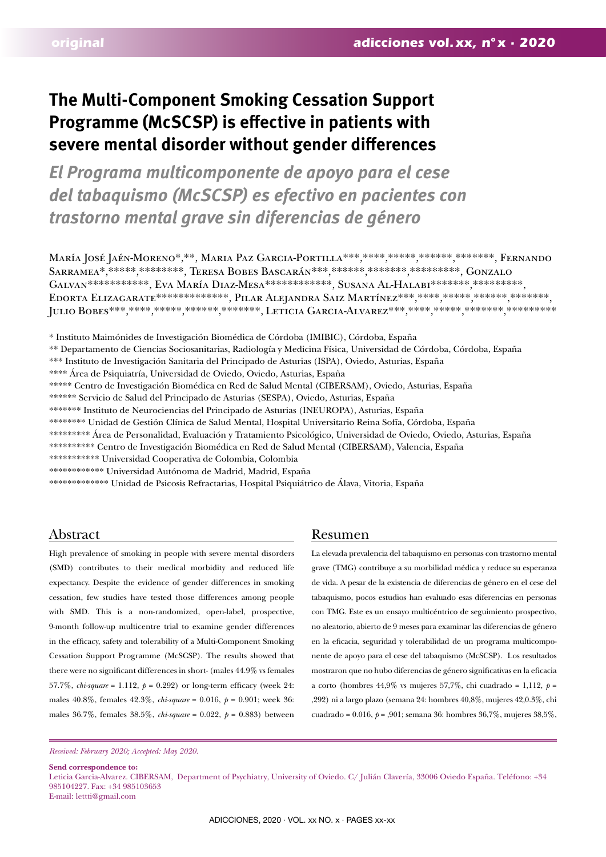# **The Multi-Component Smoking Cessation Support Programme (McSCSP) is effective in patients with severe mental disorder without gender differences**

*El Programa multicomponente de apoyo para el cese del tabaquismo (McSCSP) es efectivo en pacientes con trastorno mental grave sin diferencias de género*

María José Jaén-Moreno\*,\*\*, Maria Paz Garcia-Portilla\*\*\*,\*\*\*\*,\*\*\*\*\*,\*\*\*\*\*\*,\*\*\*\*\*\*\*, Fernando SARRAMEA\*,\*\*\*\*\*\*,\*\*\*\*\*\*\*\*, TERESA BOBES BASCARÁN\*\*\*,\*\*\*\*\*\*,\*\*\*\*\*\*\*,\*\*\*\*\*\*\*\*, GONZALO GALVAN\*\*\*\*\*\*\*\*\*\*\*\*, EVA MARÍA DIAZ-MESA\*\*\*\*\*\*\*\*\*\*\*\*, SUSANA AL-HALABI\*\*\*\*\*\*\*\*, \*\*\*\*\*\*\*\*\*, EDORTA ELIZAGARATE\*\*\*\*\*\*\*\*\*\*\*\*\*\*, PILAR ALEJANDRA SAIZ MARTÍNEZ\*\*\*, \*\*\*\*, \*\*\*\*\*\*, \*\*\*\*\*\*, \*\*\*\*\*\*\*, JULIO BOBES\*\*\*,\*\*\*\*,\*\*\*\*\*,\*\*\*\*\*\*\*, LETICIA GARCIA-ALVAREZ\*\*\*,\*\*\*\*\*,\*\*\*\*\*\*\*\*\*\*\*\*\*\*\*\*\*\*\*\*\*

\* Instituto Maimónides de Investigación Biomédica de Córdoba (IMIBIC), Córdoba, España

\*\* Departamento de Ciencias Sociosanitarias, Radiología y Medicina Física, Universidad de Córdoba, Córdoba, España

\*\*\* Instituto de Investigación Sanitaria del Principado de Asturias (ISPA), Oviedo, Asturias, España

\*\*\*\* Área de Psiquiatría, Universidad de Oviedo, Oviedo, Asturias, España

\*\*\*\*\* Centro de Investigación Biomédica en Red de Salud Mental (CIBERSAM), Oviedo, Asturias, España

\*\*\*\*\*\* Servicio de Salud del Principado de Asturias (SESPA), Oviedo, Asturias, España

- \*\*\*\*\*\*\* Instituto de Neurociencias del Principado de Asturias (INEUROPA), Asturias, España
- \*\*\*\*\*\*\*\* Unidad de Gestión Clínica de Salud Mental, Hospital Universitario Reina Sofía, Córdoba, España
- \*\*\*\*\*\*\*\*\* Área de Personalidad, Evaluación y Tratamiento Psicológico, Universidad de Oviedo, Oviedo, Asturias, España
- \*\*\*\*\*\*\*\*\*\* Centro de Investigación Biomédica en Red de Salud Mental (CIBERSAM), Valencia, España
- \*\*\*\*\*\*\*\*\*\*\* Universidad Cooperativa de Colombia, Colombia

\*\*\*\*\*\*\*\*\*\*\*\* Universidad Autónoma de Madrid, Madrid, España

\*\*\*\*\*\*\*\*\*\*\*\*\* Unidad de Psicosis Refractarias, Hospital Psiquiátrico de Álava, Vitoria, España

High prevalence of smoking in people with severe mental disorders (SMD) contributes to their medical morbidity and reduced life expectancy. Despite the evidence of gender differences in smoking cessation, few studies have tested those differences among people with SMD. This is a non-randomized, open-label, prospective, 9-month follow-up multicentre trial to examine gender differences in the efficacy, safety and tolerability of a Multi-Component Smoking Cessation Support Programme (McSCSP). The results showed that there were no significant differences in short- (males 44.9% vs females 57.7%, *chi-square* = 1.112, *p* = 0.292) or long-term efficacy (week 24: males 40.8%, females 42.3%, *chi-square* = 0.016, *p* = 0.901; week 36: males 36.7%, females 38.5%, *chi-square* = 0.022, *p* = 0.883) between

# Abstract Resumen

La elevada prevalencia del tabaquismo en personas con trastorno mental grave (TMG) contribuye a su morbilidad médica y reduce su esperanza de vida. A pesar de la existencia de diferencias de género en el cese del tabaquismo, pocos estudios han evaluado esas diferencias en personas con TMG. Este es un ensayo multicéntrico de seguimiento prospectivo, no aleatorio, abierto de 9 meses para examinar las diferencias de género en la eficacia, seguridad y tolerabilidad de un programa multicomponente de apoyo para el cese del tabaquismo (McSCSP). Los resultados mostraron que no hubo diferencias de género significativas en la eficacia a corto (hombres 44,9% vs mujeres 57,7%, chi cuadrado = 1,112, *p* = ,292) ni a largo plazo (semana 24: hombres 40,8%, mujeres 42,0.3%, chi cuadrado = 0.016, *p* = ,901; semana 36: hombres 36,7%, mujeres 38,5%,

**Send correspondence to:**  Leticia Garcia-Alvarez. CIBERSAM, Department of Psychiatry, University of Oviedo. C/ Julián Clavería, 33006 Oviedo España. Teléfono: +34 985104227. Fax: +34 985103653 E-mail: lettti@gmail.com

*Received: February 2020; Accepted: May 2020.*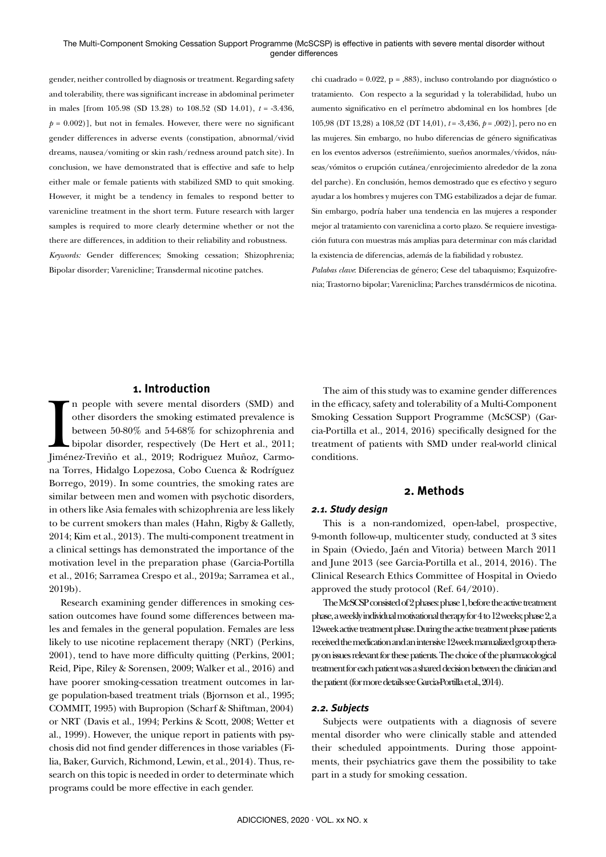gender, neither controlled by diagnosis or treatment. Regarding safety and tolerability, there was significant increase in abdominal perimeter in males [from 105.98 (SD 13.28) to 108.52 (SD 14.01), *t* = -3.436,  $p = 0.002$ ], but not in females. However, there were no significant gender differences in adverse events (constipation, abnormal/vivid dreams, nausea/vomiting or skin rash/redness around patch site). In conclusion, we have demonstrated that is effective and safe to help either male or female patients with stabilized SMD to quit smoking. However, it might be a tendency in females to respond better to varenicline treatment in the short term. Future research with larger samples is required to more clearly determine whether or not the there are differences, in addition to their reliability and robustness. *Keywords:* Gender differences; Smoking cessation; Shizophrenia; Bipolar disorder; Varenicline; Transdermal nicotine patches.

chi cuadrado = 0.022, p = ,883), incluso controlando por diagnóstico o tratamiento. Con respecto a la seguridad y la tolerabilidad, hubo un aumento significativo en el perímetro abdominal en los hombres [de 105,98 (DT 13,28) a 108,52 (DT 14,01), *t* = -3,436, *p* = ,002)], pero no en las mujeres. Sin embargo, no hubo diferencias de género significativas en los eventos adversos (estreñimiento, sueños anormales/vívidos, náuseas/vómitos o erupción cutánea/enrojecimiento alrededor de la zona del parche). En conclusión, hemos demostrado que es efectivo y seguro ayudar a los hombres y mujeres con TMG estabilizados a dejar de fumar. Sin embargo, podría haber una tendencia en las mujeres a responder mejor al tratamiento con vareniclina a corto plazo. Se requiere investigación futura con muestras más amplias para determinar con más claridad la existencia de diferencias, además de la fiabilidad y robustez.

*Palabas clave*: Diferencias de género; Cese del tabaquismo; Esquizofrenia; Trastorno bipolar; Vareniclina; Parches transdérmicos de nicotina.

# **1. Introduction**

In people with severe mental disorders (SMD) and other disorders the smoking estimated prevalence is between 50-80% and 54-68% for schizophrenia and bipolar disorder, respectively (De Hert et al., 2011; Jiménez-Treviño et n people with severe mental disorders (SMD) and other disorders the smoking estimated prevalence is between 50-80% and 54-68% for schizophrenia and bipolar disorder, respectively (De Hert et al., 2011; na Torres, Hidalgo Lopezosa, Cobo Cuenca & Rodríguez Borrego, 2019). In some countries, the smoking rates are similar between men and women with psychotic disorders, in others like Asia females with schizophrenia are less likely to be current smokers than males (Hahn, Rigby & Galletly, 2014; Kim et al., 2013). The multi-component treatment in a clinical settings has demonstrated the importance of the motivation level in the preparation phase (Garcia-Portilla et al., 2016; Sarramea Crespo et al., 2019a; Sarramea et al., 2019b).

Research examining gender differences in smoking cessation outcomes have found some differences between males and females in the general population. Females are less likely to use nicotine replacement therapy (NRT) (Perkins, 2001), tend to have more difficulty quitting (Perkins, 2001; Reid, Pipe, Riley & Sorensen, 2009; Walker et al., 2016) and have poorer smoking-cessation treatment outcomes in large population-based treatment trials (Bjornson et al., 1995; COMMIT, 1995) with Bupropion (Scharf & Shiftman, 2004) or NRT (Davis et al., 1994; Perkins & Scott, 2008; Wetter et al., 1999). However, the unique report in patients with psychosis did not find gender differences in those variables (Filia, Baker, Gurvich, Richmond, Lewin, et al., 2014). Thus, research on this topic is needed in order to determinate which programs could be more effective in each gender.

The aim of this study was to examine gender differences in the efficacy, safety and tolerability of a Multi-Component Smoking Cessation Support Programme (McSCSP) (Garcia-Portilla et al., 2014, 2016) specifically designed for the treatment of patients with SMD under real-world clinical conditions.

# **2. Methods**

# *2.1. Study design*

This is a non-randomized, open-label, prospective, 9-month follow-up, multicenter study, conducted at 3 sites in Spain (Oviedo, Jaén and Vitoria) between March 2011 and June 2013 (see Garcia-Portilla et al., 2014, 2016). The Clinical Research Ethics Committee of Hospital in Oviedo approved the study protocol (Ref. 64/2010).

The McSCSP consisted of 2 phases: phase 1, before the active treatment phase, a weekly individual motivational therapy for 4 to 12 weeks; phase 2, a 12-week active treatment phase. During the active treatment phase patients received the medication and an intensive 12-week manualized group therapy on issues relevant for these patients. The choice of the pharmacological treatment for each patient was a shared decision between the clinician and the patient (for more details see Garcia-Portilla et al., 2014).

#### *2.2. Subjects*

Subjects were outpatients with a diagnosis of severe mental disorder who were clinically stable and attended their scheduled appointments. During those appointments, their psychiatrics gave them the possibility to take part in a study for smoking cessation.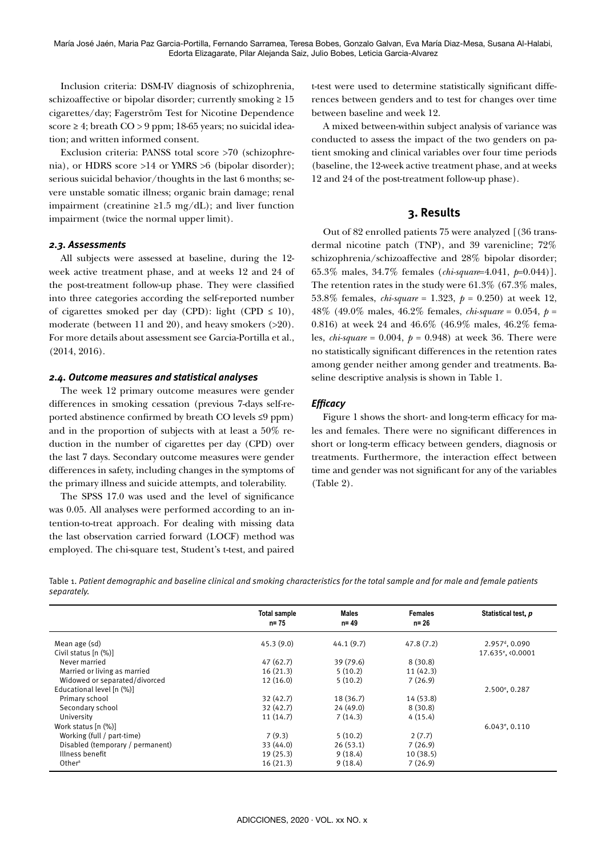Inclusion criteria: DSM-IV diagnosis of schizophrenia, schizoaffective or bipolar disorder; currently smoking  $\geq 15$ cigarettes/day; Fagerström Test for Nicotine Dependence score ≥ 4; breath CO > 9 ppm; 18-65 years; no suicidal ideation; and written informed consent.

Exclusion criteria: PANSS total score >70 (schizophrenia), or HDRS score >14 or YMRS >6 (bipolar disorder); serious suicidal behavior/thoughts in the last 6 months; severe unstable somatic illness; organic brain damage; renal impairment (creatinine  $\geq 1.5$  mg/dL); and liver function impairment (twice the normal upper limit).

#### *2.3. Assessments*

All subjects were assessed at baseline, during the 12 week active treatment phase, and at weeks 12 and 24 of the post-treatment follow-up phase. They were classified into three categories according the self-reported number of cigarettes smoked per day (CPD): light (CPD  $\leq$  10), moderate (between 11 and 20), and heavy smokers (>20). For more details about assessment see Garcia-Portilla et al., (2014, 2016).

#### *2.4. Outcome measures and statistical analyses*

The week 12 primary outcome measures were gender differences in smoking cessation (previous 7-days self-reported abstinence confirmed by breath CO levels ≤9 ppm) and in the proportion of subjects with at least a 50% reduction in the number of cigarettes per day (CPD) over the last 7 days. Secondary outcome measures were gender differences in safety, including changes in the symptoms of the primary illness and suicide attempts, and tolerability.

The SPSS 17.0 was used and the level of significance was 0.05. All analyses were performed according to an intention-to-treat approach. For dealing with missing data the last observation carried forward (LOCF) method was employed. The chi-square test, Student's t-test, and paired t-test were used to determine statistically significant differences between genders and to test for changes over time between baseline and week 12.

A mixed between-within subject analysis of variance was conducted to assess the impact of the two genders on patient smoking and clinical variables over four time periods (baseline, the 12-week active treatment phase, and at weeks 12 and 24 of the post-treatment follow-up phase).

# **3. Results**

Out of 82 enrolled patients 75 were analyzed [(36 transdermal nicotine patch (TNP), and 39 varenicline; 72% schizophrenia/schizoaffective and 28% bipolar disorder; 65.3% males, 34.7% females (*chi-square*=4.041, *p*=0.044)]. The retention rates in the study were 61.3% (67.3% males, 53.8% females, *chi-square* = 1.323, *p* = 0.250) at week 12, 48% (49.0% males, 46.2% females, *chi-square* = 0.054, *p* = 0.816) at week 24 and 46.6% (46.9% males, 46.2% females, *chi-square* = 0.004, *p* = 0.948) at week 36. There were no statistically significant differences in the retention rates among gender neither among gender and treatments. Baseline descriptive analysis is shown in Table 1.

#### *Efficacy*

Figure 1 shows the short- and long-term efficacy for males and females. There were no significant differences in short or long-term efficacy between genders, diagnosis or treatments. Furthermore, the interaction effect between time and gender was not significant for any of the variables (Table 2).

Table 1. *Patient demographic and baseline clinical and smoking characteristics for the total sample and for male and female patients separately.*

|                                  | <b>Total sample</b><br>$n = 75$ | <b>Males</b><br>$n = 49$ | <b>Females</b><br>$n = 26$ | Statistical test, p           |
|----------------------------------|---------------------------------|--------------------------|----------------------------|-------------------------------|
| Mean age (sd)                    | 45.3(9.0)                       | 44.1(9.7)                | 47.8(7.2)                  | $2.957d$ , 0.090              |
| Civil status $[n (%)]$           |                                 |                          |                            | 17.635 <sup>e</sup> , <0.0001 |
| Never married                    | 47(62.7)                        | 39 (79.6)                | 8(30.8)                    |                               |
| Married or living as married     | 16(21.3)                        | 5(10.2)                  | 11(42.3)                   |                               |
| Widowed or separated/divorced    | 12(16.0)                        | 5(10.2)                  | 7(26.9)                    |                               |
| Educational level [n (%)]        |                                 |                          |                            | $2.500^{\circ}, 0.287$        |
| Primary school                   | 32(42.7)                        | 18(36.7)                 | 14 (53.8)                  |                               |
| Secondary school                 | 32(42.7)                        | 24(49.0)                 | 8(30.8)                    |                               |
| University                       | 11(14.7)                        | 7(14.3)                  | 4(15.4)                    |                               |
| Work status [n (%)]              |                                 |                          |                            | $6.043$ <sup>e</sup> , 0.110  |
| Working (full / part-time)       | 7(9.3)                          | 5(10.2)                  | 2(7.7)                     |                               |
| Disabled (temporary / permanent) | 33 (44.0)                       | 26(53.1)                 | 7(26.9)                    |                               |
| Illness benefit                  | 19(25.3)                        | 9(18.4)                  | 10(38.5)                   |                               |
| Other <sup>a</sup>               | 16(21.3)                        | 9(18.4)                  | 7(26.9)                    |                               |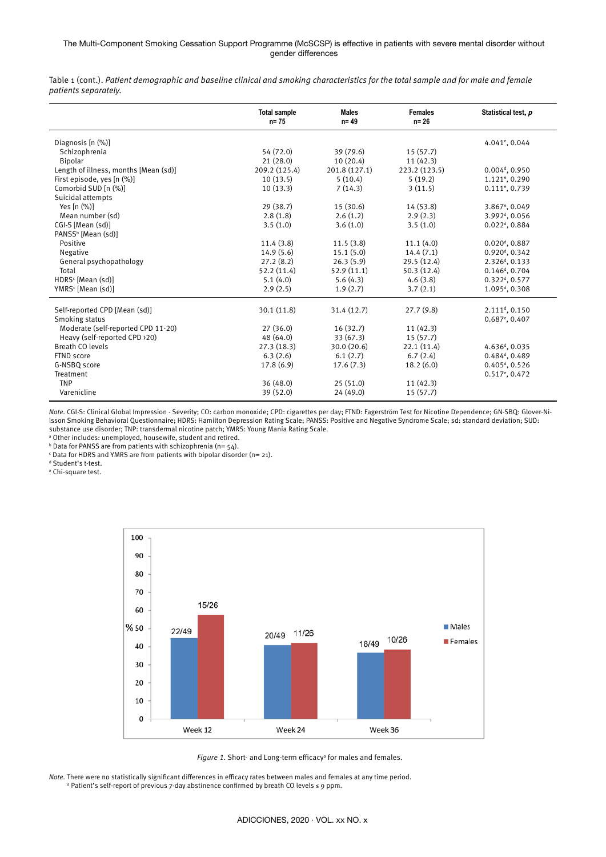#### The Multi-Component Smoking Cessation Support Programme (McSCSP) is effective in patients with severe mental disorder without gender differences

Table 1 (cont.). *Patient demographic and baseline clinical and smoking characteristics for the total sample and for male and female patients separately.*

|                                       | <b>Total sample</b><br>$n = 75$ | <b>Males</b><br>$n = 49$ | <b>Females</b><br>$n = 26$ | Statistical test, p          |
|---------------------------------------|---------------------------------|--------------------------|----------------------------|------------------------------|
| Diagnosis [n (%)]                     |                                 |                          |                            | 4.041 <sup>e</sup> , 0.044   |
| Schizophrenia                         | 54 (72.0)                       | 39 (79.6)                | 15(57.7)                   |                              |
| <b>Bipolar</b>                        | 21(28.0)                        | 10(20.4)                 | 11(42.3)                   |                              |
| Length of illness, months [Mean (sd)] | 209.2 (125.4)                   | 201.8 (127.1)            | 223.2 (123.5)              | $0.004d$ , 0.950             |
| First episode, yes [n (%)]            | 10(13.5)                        | 5(10.4)                  | 5(19.2)                    | $1.121$ <sup>e</sup> , 0.290 |
| Comorbid SUD [n (%)]                  | 10(13.3)                        | 7(14.3)                  | 3(11.5)                    | $0.111$ <sup>e</sup> , 0.739 |
| Suicidal attempts                     |                                 |                          |                            |                              |
| Yes $[n (%)]$                         | 29(38.7)                        | 15 (30.6)                | 14 (53.8)                  | 3.867 <sup>e</sup> , 0.049   |
| Mean number (sd)                      | 2.8(1.8)                        | 2.6(1.2)                 | 2.9(2.3)                   | 3.992 <sup>d</sup> , 0.056   |
| CGI-S [Mean (sd)]                     | 3.5(1.0)                        | 3.6(1.0)                 | 3.5(1.0)                   | $0.022d$ , 0.884             |
| PANSS <sup>b</sup> [Mean (sd)]        |                                 |                          |                            |                              |
| Positive                              | 11.4(3.8)                       | 11.5(3.8)                | 11.1(4.0)                  | $0.020d$ , 0.887             |
| Negative                              | 14.9(5.6)                       | 15.1(5.0)                | 14.4(7.1)                  | 0.920 <sup>d</sup> , 0.342   |
| General psychopathology               | 27.2(8.2)                       | 26.3(5.9)                | 29.5(12.4)                 | 2.326 <sup>d</sup> , 0.133   |
| Total                                 | 52.2 (11.4)                     | 52.9(11.1)               | 50.3(12.4)                 | $0.146d$ , 0.704             |
| HDRS <sup>c</sup> [Mean (sd)]         | 5.1(4.0)                        | 5.6(4.3)                 | 4.6(3.8)                   | $0.322d$ , 0.577             |
| YMRS <sup>c</sup> [Mean (sd)]         | 2.9(2.5)                        | 1.9(2.7)                 | 3.7(2.1)                   | 1.095 <sup>d</sup> , 0.308   |
| Self-reported CPD [Mean (sd)]         | 30.1 (11.8)                     | 31.4 (12.7)              | 27.7(9.8)                  | 2.111 <sup>d</sup> , 0.150   |
| Smoking status                        |                                 |                          |                            | $0.687$ <sup>e</sup> , 0.407 |
| Moderate (self-reported CPD 11-20)    | 27(36.0)                        | 16(32.7)                 | 11(42.3)                   |                              |
| Heavy (self-reported CPD >20)         | 48 (64.0)                       | 33(67.3)                 | 15(57.7)                   |                              |
| Breath CO levels                      | 27.3(18.3)                      | 30.0(20.6)               | 22.1(11.4)                 | 4.636 <sup>d</sup> , 0.035   |
| FTND score                            | 6.3(2.6)                        | 6.1(2.7)                 | 6.7(2.4)                   | 0.484 <sup>d</sup> , 0.489   |
| G-NSBO score                          | 17.8(6.9)                       | 17.6(7.3)                | 18.2(6.0)                  | $0.405d$ , 0.526             |
| Treatment                             |                                 |                          |                            | 0.517 <sup>e</sup> , 0.472   |
| <b>TNP</b>                            | 36 (48.0)                       | 25(51.0)                 | 11(42.3)                   |                              |
| Varenicline                           | 39 (52.0)                       | 24 (49.0)                | 15(57.7)                   |                              |

*Note.* CGI-S: Clinical Global Impression - Severity; CO: carbon monoxide; CPD: cigarettes per day; FTND: Fagerström Test for Nicotine Dependence; GN-SBQ: Glover-Nilsson Smoking Behavioral Questionnaire; HDRS: Hamilton Depression Rating Scale; PANSS: Positive and Negative Syndrome Scale; sd: standard deviation; SUD: substance use disorder; TNP: transdermal nicotine patch; YMRS: Young Mania Rating Scale.

a Other includes: unemployed, housewife, student and retired.

 $b$  Data for PANSS are from patients with schizophrenia (n=  $54$ ).

 $\mathop{\text{c}}$  Data for HDRS and YMRS are from patients with bipolar disorder (n= 21).

d Student's t-test. e Chi-square test.



Figure 1. Short- and Long-term efficacy<sup>a</sup> for males and females.

*Note.* There were no statistically significant differences in efficacy rates between males and females at any time period. <sup>a</sup> Patient's self-report of previous 7-day abstinence confirmed by breath CO levels ≤ 9 ppm.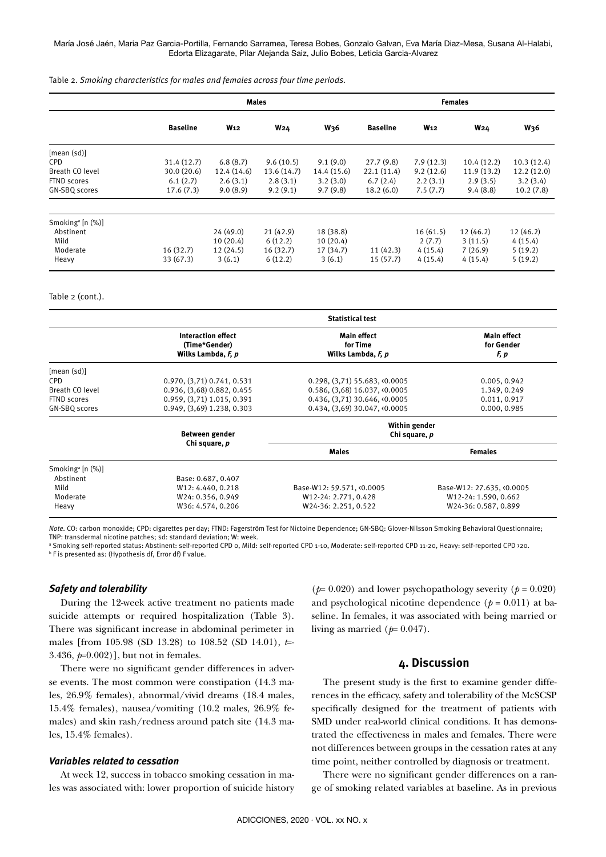#### María José Jaén, Maria Paz Garcia-Portilla, Fernando Sarramea, Teresa Bobes, Gonzalo Galvan, Eva María Diaz-Mesa, Susana Al-Halabi, Edorta Elizagarate, Pilar Alejanda Saiz, Julio Bobes, Leticia Garcia-Alvarez

Table 2. *Smoking characteristics for males and females across four time periods.*

|                                  | <b>Males</b>    |                 |             | <b>Females</b> |                 |            |            |                 |
|----------------------------------|-----------------|-----------------|-------------|----------------|-----------------|------------|------------|-----------------|
|                                  | <b>Baseline</b> | W <sub>12</sub> | <b>W24</b>  | <b>W36</b>     | <b>Baseline</b> | <b>W12</b> | <b>W24</b> | W <sub>36</sub> |
| [mean (sd)]                      |                 |                 |             |                |                 |            |            |                 |
| <b>CPD</b>                       | 31.4(12.7)      | 6.8(8.7)        | 9.6(10.5)   | 9.1(9.0)       | 27.7(9.8)       | 7.9(12.3)  | 10.4(12.2) | 10.3(12.4)      |
| Breath CO level                  | 30.0(20.6)      | 12.4(14.6)      | 13.6 (14.7) | 14.4 (15.6)    | 22.1(11.4)      | 9.2(12.6)  | 11.9(13.2) | 12.2(12.0)      |
| FTND scores                      | 6.1(2.7)        | 2.6(3.1)        | 2.8(3.1)    | 3.2(3.0)       | 6.7(2.4)        | 2.2(3.1)   | 2.9(3.5)   | 3.2(3.4)        |
| GN-SBQ scores                    | 17.6(7.3)       | 9.0(8.9)        | 9.2(9.1)    | 9.7(9.8)       | 18.2(6.0)       | 7.5(7.7)   | 9.4(8.8)   | 10.2(7.8)       |
| Smoking <sup>a</sup> [n $(\%)$ ] |                 |                 |             |                |                 |            |            |                 |
| Abstinent                        |                 | 24(49.0)        | 21(42.9)    | 18 (38.8)      |                 | 16(61.5)   | 12(46.2)   | 12 (46.2)       |
| Mild                             |                 | 10(20.4)        | 6(12.2)     | 10(20.4)       |                 | 2(7.7)     | 3(11.5)    | 4(15.4)         |
| Moderate                         | 16(32.7)        | 12(24.5)        | 16(32.7)    | 17(34.7)       | 11(42.3)        | 4(15.4)    | 7(26.9)    | 5(19.2)         |
| Heavy                            | 33(67.3)        | 3(6.1)          | 6(12.2)     | 3(6.1)         | 15(57.7)        | 4(15.4)    | 4(15.4)    | 5(19.2)         |

#### Table 2 (cont.).

|                                  | <b>Statistical test</b>                                   |                                                      |                                          |  |
|----------------------------------|-----------------------------------------------------------|------------------------------------------------------|------------------------------------------|--|
|                                  | Interaction effect<br>(Time*Gender)<br>Wilks Lambda, F, p | <b>Main effect</b><br>for Time<br>Wilks Lambda, F, p | <b>Main effect</b><br>for Gender<br>F, p |  |
| [mean (sd)]                      |                                                           |                                                      |                                          |  |
| CPD                              | 0.970, (3,71) 0.741, 0.531                                | $0.298, (3.71)$ 55.683, <0.0005                      | 0.005, 0.942                             |  |
| Breath CO level                  | 0.936, (3,68) 0.882, 0.455                                | $0.586, (3.68)$ 16.037, <0.0005                      | 1.349, 0.249                             |  |
| FTND scores                      | 0.959, (3,71) 1.015, 0.391                                | 0.436, (3,71) 30.646, <0.0005                        | 0.011, 0.917                             |  |
| GN-SBQ scores                    | 0.949, (3,69) 1.238, 0.303                                | $0.434, (3.69)$ 30.047, $\langle 0.0005$             | 0.000, 0.985                             |  |
|                                  | Between gender                                            | Within gender<br>Chi square, p                       |                                          |  |
|                                  | Chi square, p                                             | <b>Males</b>                                         | <b>Females</b>                           |  |
| Smoking <sup>a</sup> [n $(\%)$ ] |                                                           |                                                      |                                          |  |
| Abstinent                        | Base: 0.687, 0.407                                        |                                                      |                                          |  |
| Mild                             | W12: 4.440, 0.218                                         | Base-W12: 59.571, <0.0005                            | Base-W12: 27.635, <0.0005                |  |
| Moderate                         | W24: 0.356, 0.949                                         | W12-24: 2.771, 0.428                                 | W12-24: 1.590, 0.662                     |  |
| Heavy                            | W36: 4.574, 0.206                                         | W24-36: 2.251, 0.522                                 | W24-36: 0.587, 0.899                     |  |

*Note.* CO: carbon monoxide; CPD: cigarettes per day; FTND: Fagerström Test for Nictoine Dependence; GN-SBQ: Glover-Nilsson Smoking Behavioral Questionnaire; TNP: transdermal nicotine patches; sd: standard deviation; W: week.

a Smoking self-reported status: Abstinent: self-reported CPD 0, Mild: self-reported CPD 1-10, Moderate: self-reported CPD 11-20, Heavy: self-reported CPD >20. **b** F is presented as: (Hypothesis df, Error df) F value.

#### *Safety and tolerability*

During the 12-week active treatment no patients made suicide attempts or required hospitalization (Table 3). There was significant increase in abdominal perimeter in males [from 105.98 (SD 13.28) to 108.52 (SD 14.01), *t*=- 3.436, *p*=0.002)], but not in females.

There were no significant gender differences in adverse events. The most common were constipation (14.3 males, 26.9% females), abnormal/vivid dreams (18.4 males, 15.4% females), nausea/vomiting (10.2 males, 26.9% females) and skin rash/redness around patch site (14.3 males, 15.4% females).

# *Variables related to cessation*

At week 12, success in tobacco smoking cessation in males was associated with: lower proportion of suicide history

( $p=0.020$ ) and lower psychopathology severity ( $p=0.020$ ) and psychological nicotine dependence  $(p = 0.011)$  at baseline. In females, it was associated with being married or living as married  $(p=0.047)$ .

# **4. Discussion**

The present study is the first to examine gender differences in the efficacy, safety and tolerability of the McSCSP specifically designed for the treatment of patients with SMD under real-world clinical conditions. It has demonstrated the effectiveness in males and females. There were not differences between groups in the cessation rates at any time point, neither controlled by diagnosis or treatment.

There were no significant gender differences on a range of smoking related variables at baseline. As in previous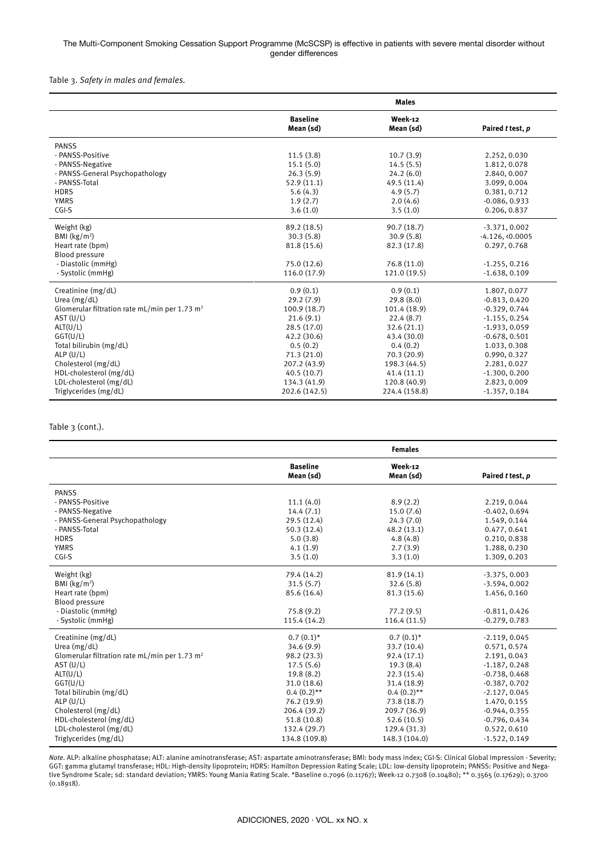#### The Multi-Component Smoking Cessation Support Programme (McSCSP) is effective in patients with severe mental disorder without gender differences

Table 3. *Safety in males and females.*

|                                                           |                              | <b>Males</b>         |                  |
|-----------------------------------------------------------|------------------------------|----------------------|------------------|
|                                                           | <b>Baseline</b><br>Mean (sd) | Week-12<br>Mean (sd) | Paired t test, p |
| <b>PANSS</b>                                              |                              |                      |                  |
| - PANSS-Positive                                          | 11.5(3.8)                    | 10.7(3.9)            | 2.252, 0.030     |
| - PANSS-Negative                                          | 15.1(5.0)                    | 14.5(5.5)            | 1.812, 0.078     |
| - PANSS-General Psychopathology                           | 26.3(5.9)                    | 24.2(6.0)            | 2.840, 0.007     |
| - PANSS-Total                                             | 52.9(11.1)                   | 49.5 (11.4)          | 3.099, 0.004     |
| <b>HDRS</b>                                               | 5.6(4.3)                     | 4.9(5.7)             | 0.381, 0.712     |
| <b>YMRS</b>                                               | 1.9(2.7)                     | 2.0(4.6)             | $-0.086, 0.933$  |
| CGI-S                                                     | 3.6(1.0)                     | 3.5(1.0)             | 0.206, 0.837     |
| Weight (kg)                                               | 89.2 (18.5)                  | 90.7(18.7)           | $-3.371, 0.002$  |
| BMI $(kg/m2)$                                             | 30.3(5.8)                    | 30.9(5.8)            | $-4.126, 0.0005$ |
| Heart rate (bpm)                                          | 81.8 (15.6)                  | 82.3 (17.8)          | 0.297, 0.768     |
| Blood pressure                                            |                              |                      |                  |
| - Diastolic (mmHg)                                        | 75.0 (12.6)                  | 76.8 (11.0)          | $-1.255, 0.216$  |
| - Systolic (mmHg)                                         | 116.0(17.9)                  | 121.0 (19.5)         | $-1.638, 0.109$  |
| Creatinine (mg/dL)                                        | 0.9(0.1)                     | 0.9(0.1)             | 1.807, 0.077     |
| Urea $(mg/dL)$                                            | 29.2(7.9)                    | 29.8(8.0)            | $-0.813, 0.420$  |
| Glomerular filtration rate mL/min per 1.73 m <sup>2</sup> | 100.9(18.7)                  | 101.4 (18.9)         | $-0.329, 0.744$  |
| AST (U/L)                                                 | 21.6(9.1)                    | 22.4(8.7)            | $-1.155, 0.254$  |
| ALT(U/L)                                                  | 28.5(17.0)                   | 32.6(21.1)           | $-1.933, 0.059$  |
| GGT(U/L)                                                  | 42.2 (30.6)                  | 43.4 (30.0)          | $-0.678, 0.501$  |
| Total bilirubin (mg/dL)                                   | 0.5(0.2)                     | 0.4(0.2)             | 1.033, 0.308     |
| ALP $(U/L)$                                               | 71.3(21.0)                   | 70.3(20.9)           | 0.990, 0.327     |
| Cholesterol (mg/dL)                                       | 207.2 (43.9)                 | 198.3 (44.5)         | 2.281, 0.027     |
| HDL-cholesterol (mg/dL)                                   | 40.5(10.7)                   | 41.4(11.1)           | $-1.300, 0.200$  |
| LDL-cholesterol (mg/dL)                                   | 134.3 (41.9)                 | 120.8 (40.9)         | 2.823, 0.009     |
| Triglycerides (mg/dL)                                     | 202.6 (142.5)                | 224.4 (158.8)        | $-1.357, 0.184$  |

# Table 3 (cont.).

|                                                           |                              | <b>Females</b>       |                  |
|-----------------------------------------------------------|------------------------------|----------------------|------------------|
|                                                           | <b>Baseline</b><br>Mean (sd) | Week-12<br>Mean (sd) | Paired t test, p |
| <b>PANSS</b>                                              |                              |                      |                  |
| - PANSS-Positive                                          | 11.1(4.0)                    | 8.9(2.2)             | 2.219, 0.044     |
| - PANSS-Negative                                          | 14.4(7.1)                    | 15.0(7.6)            | $-0.402, 0.694$  |
| - PANSS-General Psychopathology                           | 29.5 (12.4)                  | 24.3(7.0)            | 1.549, 0.144     |
| - PANSS-Total                                             | 50.3(12.4)                   | 48.2 (13.1)          | 0.477, 0.641     |
| <b>HDRS</b>                                               | 5.0(3.8)                     | 4.8(4.8)             | 0.210, 0.838     |
| <b>YMRS</b>                                               | 4.1(1.9)                     | 2.7(3.9)             | 1.288, 0.230     |
| $CGI-S$                                                   | 3.5(1.0)                     | 3.3(1.0)             | 1.309, 0.203     |
| Weight (kg)                                               | 79.4 (14.2)                  | 81.9 (14.1)          | $-3.375, 0.003$  |
| BMI $(kg/m2)$                                             | 31.5(5.7)                    | 32.6(5.8)            | $-3.594, 0.002$  |
| Heart rate (bpm)                                          | 85.6 (16.4)                  | 81.3 (15.6)          | 1.456, 0.160     |
| Blood pressure                                            |                              |                      |                  |
| - Diastolic (mmHg)                                        | 75.8(9.2)                    | 77.2(9.5)            | $-0.811, 0.426$  |
| - Systolic (mmHg)                                         | 115.4 (14.2)                 | 116.4(11.5)          | $-0.279, 0.783$  |
| Creatinine (mg/dL)                                        | $0.7(0.1)$ *                 | $0.7(0.1)$ *         | $-2.119, 0.045$  |
| Urea $(mg/dL)$                                            | 34.6 (9.9)                   | 33.7 (10.4)          | 0.571, 0.574     |
| Glomerular filtration rate mL/min per 1.73 m <sup>2</sup> | 98.2 (23.3)                  | 92.4 (17.1)          | 2.191, 0.043     |
| AST (U/L)                                                 | 17.5(5.6)                    | 19.3(8.4)            | $-1.187, 0.248$  |
| ALT(U/L)                                                  | 19.8(8.2)                    | 22.3(15.4)           | $-0.738, 0.468$  |
| GGT(U/L)                                                  | 31.0(18.6)                   | 31.4 (18.9)          | $-0.387, 0.702$  |
| Total bilirubin (mg/dL)                                   | $0.4(0.2)$ **                | $0.4(0.2)$ **        | $-2.127, 0.045$  |
| ALP $(U/L)$                                               | 76.2 (19.9)                  | 73.8 (18.7)          | 1.470, 0.155     |
| Cholesterol (mg/dL)                                       | 206.4 (39.2)                 | 209.7 (36.9)         | $-0.944, 0.355$  |
| HDL-cholesterol (mg/dL)                                   | 51.8 (10.8)                  | 52.6(10.5)           | $-0.796, 0.434$  |
| LDL-cholesterol (mg/dL)                                   | 132.4 (29.7)                 | 129.4 (31.3)         | 0.522, 0.610     |
| Triglycerides (mg/dL)                                     | 134.8 (109.8)                | 148.3 (104.0)        | $-1.522, 0.149$  |

*Note.* ALP: alkaline phosphatase; ALT: alanine aminotransferase; AST: aspartate aminotransferase; BMI: body mass index; CGI-S: Clinical Global Impression - Severity; GGT: gamma glutamyl transferase; HDL: High-density lipoprotein; HDRS: Hamilton Depression Rating Scale; LDL: low-density lipoprotein; PANSS: Positive and Negative Syndrome Scale; sd: standard deviation; YMRS: Young Mania Rating Scale. \*Baseline 0.7096 (0.11767); Week-12 0.7308 (0.10480); \*\* 0.3565 (0.17629); 0.3700 (0.18918).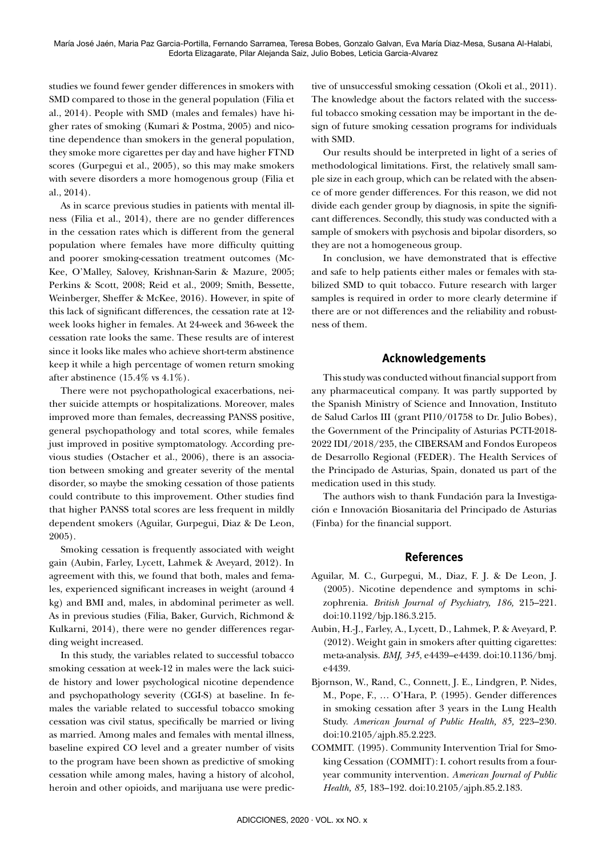María José Jaén, Maria Paz Garcia-Portilla, Fernando Sarramea, Teresa Bobes, Gonzalo Galvan, Eva María Diaz-Mesa, Susana Al-Halabi, Edorta Elizagarate, Pilar Alejanda Saiz, Julio Bobes, Leticia Garcia-Alvarez

studies we found fewer gender differences in smokers with SMD compared to those in the general population (Filia et al., 2014). People with SMD (males and females) have higher rates of smoking (Kumari & Postma, 2005) and nicotine dependence than smokers in the general population, they smoke more cigarettes per day and have higher FTND scores (Gurpegui et al., 2005), so this may make smokers with severe disorders a more homogenous group (Filia et al., 2014).

As in scarce previous studies in patients with mental illness (Filia et al., 2014), there are no gender differences in the cessation rates which is different from the general population where females have more difficulty quitting and poorer smoking-cessation treatment outcomes (Mc-Kee, O'Malley, Salovey, Krishnan-Sarin & Mazure, 2005; Perkins & Scott, 2008; Reid et al., 2009; Smith, Bessette, Weinberger, Sheffer & McKee, 2016). However, in spite of this lack of significant differences, the cessation rate at 12 week looks higher in females. At 24-week and 36-week the cessation rate looks the same. These results are of interest since it looks like males who achieve short-term abstinence keep it while a high percentage of women return smoking after abstinence (15.4% vs 4.1%).

There were not psychopathological exacerbations, neither suicide attempts or hospitalizations. Moreover, males improved more than females, decreassing PANSS positive, general psychopathology and total scores, while females just improved in positive symptomatology. According previous studies (Ostacher et al., 2006), there is an association between smoking and greater severity of the mental disorder, so maybe the smoking cessation of those patients could contribute to this improvement. Other studies find that higher PANSS total scores are less frequent in mildly dependent smokers (Aguilar, Gurpegui, Diaz & De Leon, 2005).

Smoking cessation is frequently associated with weight gain (Aubin, Farley, Lycett, Lahmek & Aveyard, 2012). In agreement with this, we found that both, males and females, experienced significant increases in weight (around 4 kg) and BMI and, males, in abdominal perimeter as well. As in previous studies (Filia, Baker, Gurvich, Richmond & Kulkarni, 2014), there were no gender differences regarding weight increased.

In this study, the variables related to successful tobacco smoking cessation at week-12 in males were the lack suicide history and lower psychological nicotine dependence and psychopathology severity (CGI-S) at baseline. In females the variable related to successful tobacco smoking cessation was civil status, specifically be married or living as married. Among males and females with mental illness, baseline expired CO level and a greater number of visits to the program have been shown as predictive of smoking cessation while among males, having a history of alcohol, heroin and other opioids, and marijuana use were predictive of unsuccessful smoking cessation (Okoli et al., 2011). The knowledge about the factors related with the successful tobacco smoking cessation may be important in the design of future smoking cessation programs for individuals with SMD.

Our results should be interpreted in light of a series of methodological limitations. First, the relatively small sample size in each group, which can be related with the absence of more gender differences. For this reason, we did not divide each gender group by diagnosis, in spite the significant differences. Secondly, this study was conducted with a sample of smokers with psychosis and bipolar disorders, so they are not a homogeneous group.

In conclusion, we have demonstrated that is effective and safe to help patients either males or females with stabilized SMD to quit tobacco. Future research with larger samples is required in order to more clearly determine if there are or not differences and the reliability and robustness of them.

# **Acknowledgements**

This study was conducted without financial support from any pharmaceutical company. It was partly supported by the Spanish Ministry of Science and Innovation, Instituto de Salud Carlos III (grant PI10/01758 to Dr. Julio Bobes), the Government of the Principality of Asturias PCTI-2018- 2022 IDI/2018/235, the CIBERSAM and Fondos Europeos de Desarrollo Regional (FEDER). The Health Services of the Principado de Asturias, Spain, donated us part of the medication used in this study.

The authors wish to thank Fundación para la Investigación e Innovación Biosanitaria del Principado de Asturias (Finba) for the financial support.

# **References**

- Aguilar, M. C., Gurpegui, M., Diaz, F. J. & De Leon, J. (2005). Nicotine dependence and symptoms in schizophrenia. *British Journal of Psychiatry, 186,* 215–221. doi:10.1192/bjp.186.3.215.
- Aubin, H.-J., Farley, A., Lycett, D., Lahmek, P. & Aveyard, P. (2012). Weight gain in smokers after quitting cigarettes: meta-analysis. *BMJ, 345*, e4439–e4439. doi:10.1136/bmj. e4439.
- Bjornson, W., Rand, C., Connett, J. E., Lindgren, P. Nides, M., Pope, F., … O'Hara, P. (1995). Gender differences in smoking cessation after 3 years in the Lung Health Study. *American Journal of Public Health, 85,* 223–230. doi:10.2105/ajph.85.2.223.
- COMMIT. (1995). Community Intervention Trial for Smoking Cessation (COMMIT): I. cohort results from a fouryear community intervention. *American Journal of Public Health, 85,* 183–192. doi:10.2105/ajph.85.2.183.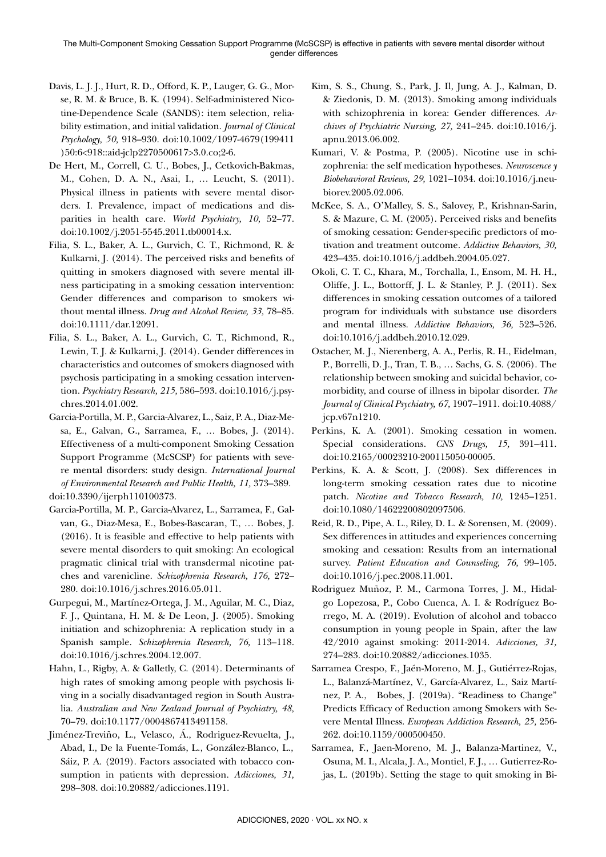- Davis, L. J. J., Hurt, R. D., Offord, K. P., Lauger, G. G., Morse, R. M. & Bruce, B. K. (1994). Self-administered Nicotine-Dependence Scale (SANDS): item selection, reliability estimation, and initial validation. *Journal of Clinical Psychology, 50,* 918–930. doi:10.1002/1097-4679(199411 )50:6<918::aid-jclp2270500617>3.0.co;2-6.
- De Hert, M., Correll, C. U., Bobes, J., Cetkovich-Bakmas, M., Cohen, D. A. N., Asai, I., … Leucht, S. (2011). Physical illness in patients with severe mental disorders. I. Prevalence, impact of medications and disparities in health care. *World Psychiatry, 10,* 52–77. doi:10.1002/j.2051-5545.2011.tb00014.x.
- Filia, S. L., Baker, A. L., Gurvich, C. T., Richmond, R. & Kulkarni, J. (2014). The perceived risks and benefits of quitting in smokers diagnosed with severe mental illness participating in a smoking cessation intervention: Gender differences and comparison to smokers without mental illness. *Drug and Alcohol Review, 33,* 78–85. doi:10.1111/dar.12091.
- Filia, S. L., Baker, A. L., Gurvich, C. T., Richmond, R., Lewin, T. J. & Kulkarni, J. (2014). Gender differences in characteristics and outcomes of smokers diagnosed with psychosis participating in a smoking cessation intervention. *Psychiatry Research, 215,* 586–593. doi:10.1016/j.psychres.2014.01.002.
- Garcia-Portilla, M. P., Garcia-Alvarez, L., Saiz, P. A., Diaz-Mesa, E., Galvan, G., Sarramea, F., … Bobes, J. (2014). Effectiveness of a multi-component Smoking Cessation Support Programme (McSCSP) for patients with severe mental disorders: study design. *International Journal of Environmental Research and Public Health, 11,* 373–389. doi:10.3390/ijerph110100373.
- Garcia-Portilla, M. P., Garcia-Alvarez, L., Sarramea, F., Galvan, G., Diaz-Mesa, E., Bobes-Bascaran, T., … Bobes, J. (2016). It is feasible and effective to help patients with severe mental disorders to quit smoking: An ecological pragmatic clinical trial with transdermal nicotine patches and varenicline. *Schizophrenia Research, 176,* 272– 280. doi:10.1016/j.schres.2016.05.011.
- Gurpegui, M., Martínez-Ortega, J. M., Aguilar, M. C., Diaz, F. J., Quintana, H. M. & De Leon, J. (2005). Smoking initiation and schizophrenia: A replication study in a Spanish sample. *Schizophrenia Research, 76,* 113–118. doi:10.1016/j.schres.2004.12.007.
- Hahn, L., Rigby, A. & Galletly, C. (2014). Determinants of high rates of smoking among people with psychosis living in a socially disadvantaged region in South Australia. *Australian and New Zealand Journal of Psychiatry, 48,* 70–79. doi:10.1177/0004867413491158.
- Jiménez-Treviño, L., Velasco, Á., Rodriguez-Revuelta, J., Abad, I., De la Fuente-Tomás, L., González-Blanco, L., Sáiz, P. A. (2019). Factors associated with tobacco consumption in patients with depression. *Adicciones, 31,*  298–308. doi:10.20882/adicciones.1191.
- Kim, S. S., Chung, S., Park, J. Il, Jung, A. J., Kalman, D. & Ziedonis, D. M. (2013). Smoking among individuals with schizophrenia in korea: Gender differences. *Archives of Psychiatric Nursing, 27,* 241–245. doi:10.1016/j. apnu.2013.06.002.
- Kumari, V. & Postma, P. (2005). Nicotine use in schizophrenia: the self medication hypotheses. *Neuroscence y Biobehavioral Reviews, 29,* 1021–1034. doi:10.1016/j.neubiorev.2005.02.006.
- McKee, S. A., O'Malley, S. S., Salovey, P., Krishnan-Sarin, S. & Mazure, C. M. (2005). Perceived risks and benefits of smoking cessation: Gender-specific predictors of motivation and treatment outcome. *Addictive Behaviors, 30,*  423–435. doi:10.1016/j.addbeh.2004.05.027.
- Okoli, C. T. C., Khara, M., Torchalla, I., Ensom, M. H. H., Oliffe, J. L., Bottorff, J. L. & Stanley, P. J. (2011). Sex differences in smoking cessation outcomes of a tailored program for individuals with substance use disorders and mental illness. *Addictive Behaviors, 36,* 523–526. doi:10.1016/j.addbeh.2010.12.029.
- Ostacher, M. J., Nierenberg, A. A., Perlis, R. H., Eidelman, P., Borrelli, D. J., Tran, T. B., … Sachs, G. S. (2006). The relationship between smoking and suicidal behavior, comorbidity, and course of illness in bipolar disorder. *The Journal of Clinical Psychiatry, 67,* 1907–1911. doi:10.4088/ jcp.v67n1210.
- Perkins, K. A. (2001). Smoking cessation in women. Special considerations. *CNS Drugs, 15,* 391–411. doi:10.2165/00023210-200115050-00005.
- Perkins, K. A. & Scott, J. (2008). Sex differences in long-term smoking cessation rates due to nicotine patch. *Nicotine and Tobacco Research, 10,* 1245–1251. doi:10.1080/14622200802097506.
- Reid, R. D., Pipe, A. L., Riley, D. L. & Sorensen, M. (2009). Sex differences in attitudes and experiences concerning smoking and cessation: Results from an international survey. *Patient Education and Counseling, 76,* 99–105. doi:10.1016/j.pec.2008.11.001.
- Rodriguez Muñoz, P. M., Carmona Torres, J. M., Hidalgo Lopezosa, P., Cobo Cuenca, A. I. & Rodríguez Borrego, M. A. (2019). Evolution of alcohol and tobacco consumption in young people in Spain, after the law 42/2010 against smoking: 2011-2014. *Adicciones, 31,*  274–283. doi:10.20882/adicciones.1035.
- Sarramea Crespo, F., Jaén-Moreno, M. J., Gutiérrez-Rojas, L., Balanzá-Martínez, V., García-Alvarez, L., Saiz Martínez, P. A., Bobes, J. (2019a). "Readiness to Change" Predicts Efficacy of Reduction among Smokers with Severe Mental Illness. *European Addiction Research, 25,* 256- 262. doi:10.1159/000500450.
- Sarramea, F., Jaen-Moreno, M. J., Balanza-Martinez, V., Osuna, M. I., Alcala, J. A., Montiel, F. J., … Gutierrez-Rojas, L. (2019b). Setting the stage to quit smoking in Bi-